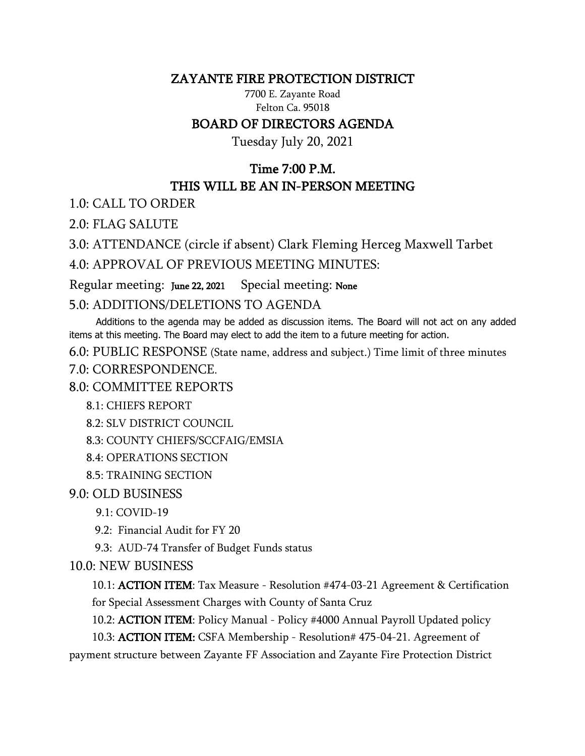#### ZAYANTE FIRE PROTECTION DISTRICT

7700 E. Zayante Road Felton Ca. 95018

#### BOARD OF DIRECTORS AGENDA

Tuesday July 20, 2021

# Time 7:00 P.M. THIS WILL BE AN IN-PERSON MEETING

1.0: CALL TO ORDER

2.0: FLAG SALUTE

3.0: ATTENDANCE (circle if absent) Clark Fleming Herceg Maxwell Tarbet

4.0: APPROVAL OF PREVIOUS MEETING MINUTES:

Regular meeting: June 22, 2021 Special meeting: None

## 5.0: ADDITIONS/DELETIONS TO AGENDA

 Additions to the agenda may be added as discussion items. The Board will not act on any added items at this meeting. The Board may elect to add the item to a future meeting for action.

6.0: PUBLIC RESPONSE (State name, address and subject.) Time limit of three minutes

7.0: CORRESPONDENCE.

8.0: COMMITTEE REPORTS

- 8.1: CHIEFS REPORT
- 8.2: SLV DISTRICT COUNCIL

8.3: COUNTY CHIEFS/SCCFAIG/EMSIA

- 8.4: OPERATIONS SECTION
- 8.5: TRAINING SECTION

## 9.0: OLD BUSINESS

9.1: COVID-19

9.2: Financial Audit for FY 20

9.3: AUD-74 Transfer of Budget Funds status

## 10.0: NEW BUSINESS

10.1: ACTION ITEM: Tax Measure - Resolution #474-03-21 Agreement & Certification for Special Assessment Charges with County of Santa Cruz

10.2: ACTION ITEM: Policy Manual - Policy #4000 Annual Payroll Updated policy

10.3: ACTION ITEM: CSFA Membership - Resolution# 475-04-21. Agreement of

payment structure between Zayante FF Association and Zayante Fire Protection District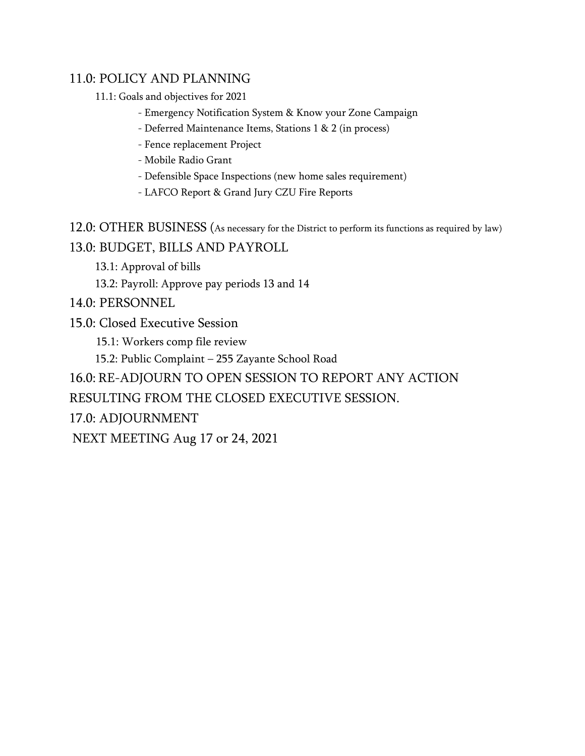## 11.0: POLICY AND PLANNING

11.1: Goals and objectives for 2021

- Emergency Notification System & Know your Zone Campaign
- Deferred Maintenance Items, Stations 1 & 2 (in process)
- Fence replacement Project
- Mobile Radio Grant
- Defensible Space Inspections (new home sales requirement)
- LAFCO Report & Grand Jury CZU Fire Reports

12.0: OTHER BUSINESS (As necessary for the District to perform its functions as required by law) 13.0: BUDGET, BILLS AND PAYROLL

13.1: Approval of bills

13.2: Payroll: Approve pay periods 13 and 14

14.0: PERSONNEL

15.0: Closed Executive Session

15.1: Workers comp file review

15.2: Public Complaint – 255 Zayante School Road

16.0: RE-ADJOURN TO OPEN SESSION TO REPORT ANY ACTION

RESULTING FROM THE CLOSED EXECUTIVE SESSION.

17.0: ADJOURNMENT

NEXT MEETING Aug 17 or 24, 2021